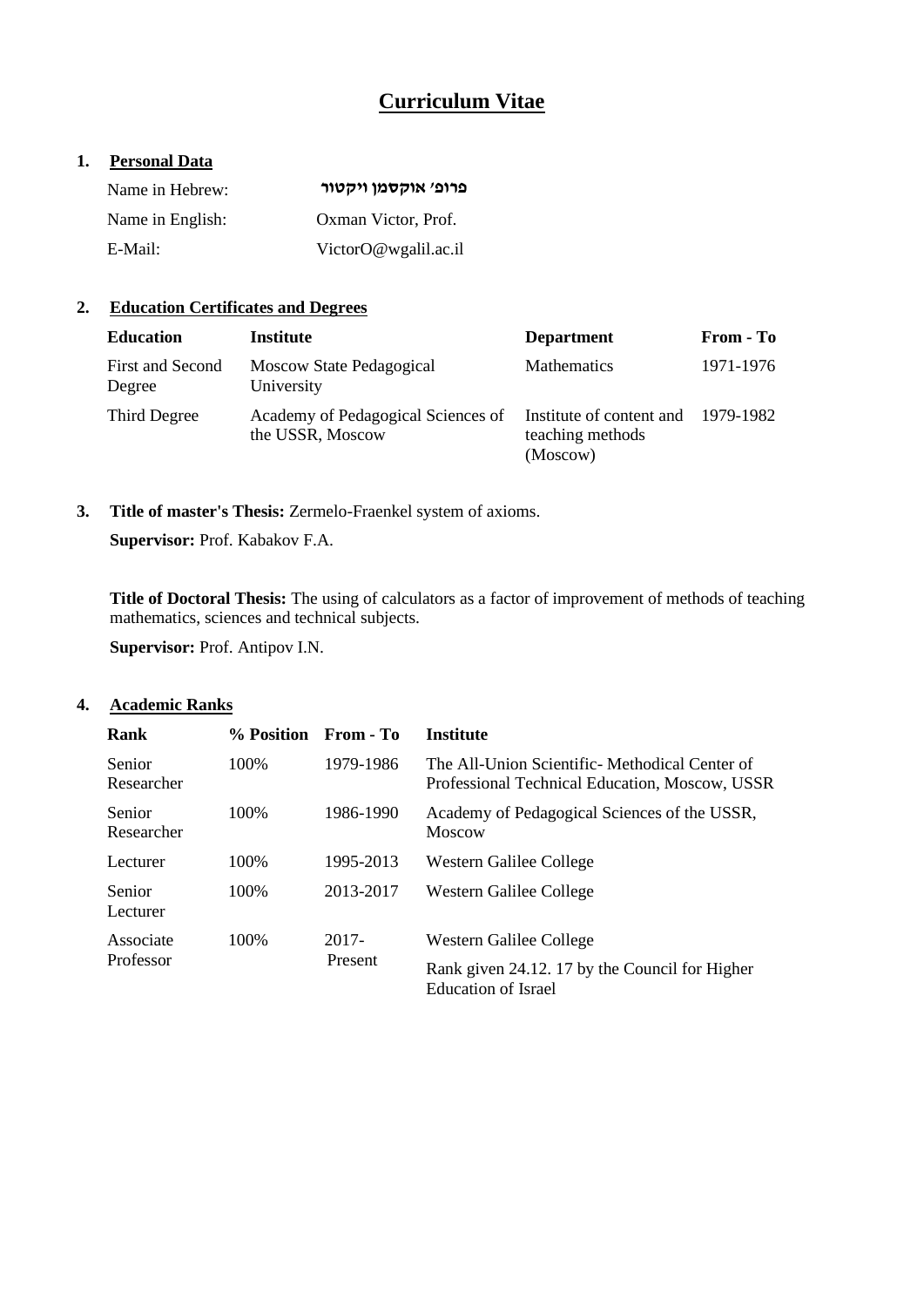# **Curriculum Vitae**

### **1. Personal Data**

| Name in Hebrew:  | פרופ׳ אוקסמו ויקטור  |
|------------------|----------------------|
| Name in English: | Oxman Victor, Prof.  |
| E-Mail:          | VictorO@wgalil.ac.il |

## **2. Education Certificates and Degrees**

| <b>Education</b>           | Institute                                              | <b>Department</b>                                                  | From - To |
|----------------------------|--------------------------------------------------------|--------------------------------------------------------------------|-----------|
| First and Second<br>Degree | Moscow State Pedagogical<br>University                 | <b>Mathematics</b>                                                 | 1971-1976 |
| Third Degree               | Academy of Pedagogical Sciences of<br>the USSR, Moscow | Institute of content and 1979-1982<br>teaching methods<br>(Moscow) |           |

**3. Title of master's Thesis:** Zermelo-Fraenkel system of axioms. **Supervisor:** Prof. Kabakov F.A.

**Title of Doctoral Thesis:** The using of calculators as a factor of improvement of methods of teaching mathematics, sciences and technical subjects.

**Supervisor:** Prof. Antipov I.N.

### **4. Academic Ranks**

| Rank                 | % Position | From - To | <b>Institute</b>                                                                                |
|----------------------|------------|-----------|-------------------------------------------------------------------------------------------------|
| Senior<br>Researcher | 100\%      | 1979-1986 | The All-Union Scientific-Methodical Center of<br>Professional Technical Education, Moscow, USSR |
| Senior<br>Researcher | 100\%      | 1986-1990 | Academy of Pedagogical Sciences of the USSR,<br>Moscow                                          |
| Lecturer             | 100\%      | 1995-2013 | Western Galilee College                                                                         |
| Senior<br>Lecturer   | 100\%      | 2013-2017 | Western Galilee College                                                                         |
| Associate            | 100\%      | 2017-     | Western Galilee College                                                                         |
| Professor            |            | Present   | Rank given 24.12. 17 by the Council for Higher<br>Education of Israel                           |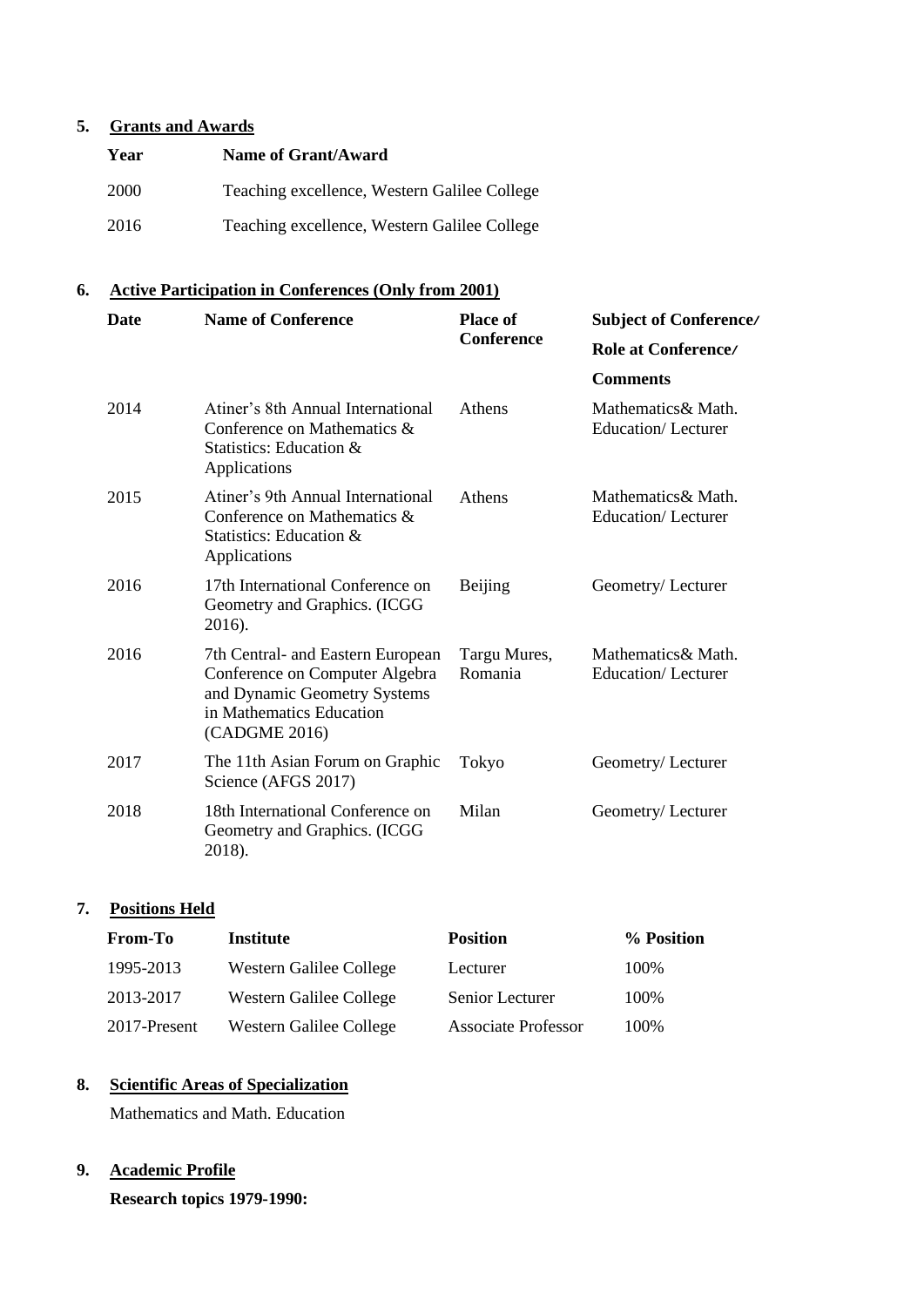## **5. Grants and Awards**

| Year        | Name of Grant/Award                          |
|-------------|----------------------------------------------|
| <b>2000</b> | Teaching excellence, Western Galilee College |
| 2016        | Teaching excellence, Western Galilee College |

## **6. Active Participation in Conferences (Only from 2001)**

| <b>Date</b> | <b>Name of Conference</b>                                                                                                                        | <b>Place of</b>         | <b>Subject of Conference/</b>                    |  |
|-------------|--------------------------------------------------------------------------------------------------------------------------------------------------|-------------------------|--------------------------------------------------|--|
|             |                                                                                                                                                  | <b>Conference</b>       | <b>Role at Conference/</b>                       |  |
|             |                                                                                                                                                  |                         | <b>Comments</b>                                  |  |
| 2014        | Atiner's 8th Annual International<br>Conference on Mathematics &<br>Statistics: Education &<br>Applications                                      | Athens                  | Mathematics & Math.<br><b>Education/Lecturer</b> |  |
| 2015        | Atiner's 9th Annual International<br>Conference on Mathematics &<br>Statistics: Education &<br>Applications                                      | Athens                  | Mathematics & Math.<br><b>Education/Lecturer</b> |  |
| 2016        | 17th International Conference on<br>Geometry and Graphics. (ICGG<br>2016).                                                                       | <b>Beijing</b>          | Geometry/Lecturer                                |  |
| 2016        | 7th Central- and Eastern European<br>Conference on Computer Algebra<br>and Dynamic Geometry Systems<br>in Mathematics Education<br>(CADGME 2016) | Targu Mures,<br>Romania | Mathematics & Math.<br><b>Education/Lecturer</b> |  |
| 2017        | The 11th Asian Forum on Graphic<br>Science (AFGS 2017)                                                                                           | Tokyo                   | Geometry/Lecturer                                |  |
| 2018        | 18th International Conference on<br>Geometry and Graphics. (ICGG<br>2018).                                                                       | Milan                   | Geometry/Lecturer                                |  |

## **7. Positions Held**

| <b>From-To</b> | <b>Institute</b>        | <b>Position</b>     | % Position |
|----------------|-------------------------|---------------------|------------|
| 1995-2013      | Western Galilee College | Lecturer            | 100\%      |
| 2013-2017      | Western Galilee College | Senior Lecturer     | 100%       |
| 2017-Present   | Western Galilee College | Associate Professor | 100\%      |

## **8. Scientific Areas of Specialization**

Mathematics and Math. Education

## **9. Academic Profile**

**Research topics 1979-1990:**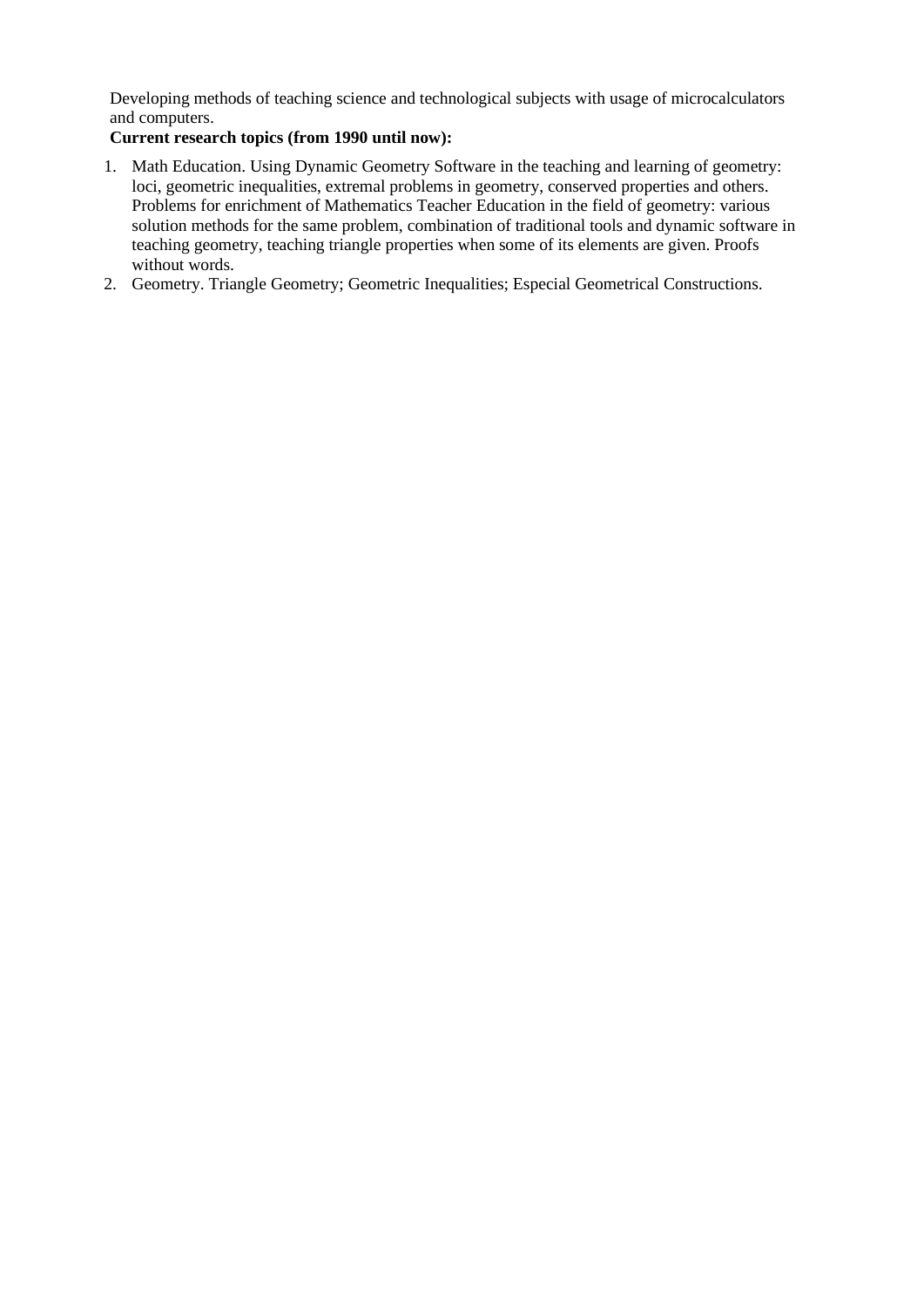Developing methods of teaching science and technological subjects with usage of microcalculators and computers.

### **Current research topics (from 1990 until now):**

- 1. Math Education. Using Dynamic Geometry Software in the teaching and learning of geometry: loci, geometric inequalities, extremal problems in geometry, conserved properties and others. Problems for enrichment of Mathematics Teacher Education in the field of geometry: various solution methods for the same problem, combination of traditional tools and dynamic software in teaching geometry, teaching triangle properties when some of its elements are given. Proofs without words.
- 2. Geometry. Triangle Geometry; Geometric Inequalities; Especial Geometrical Constructions.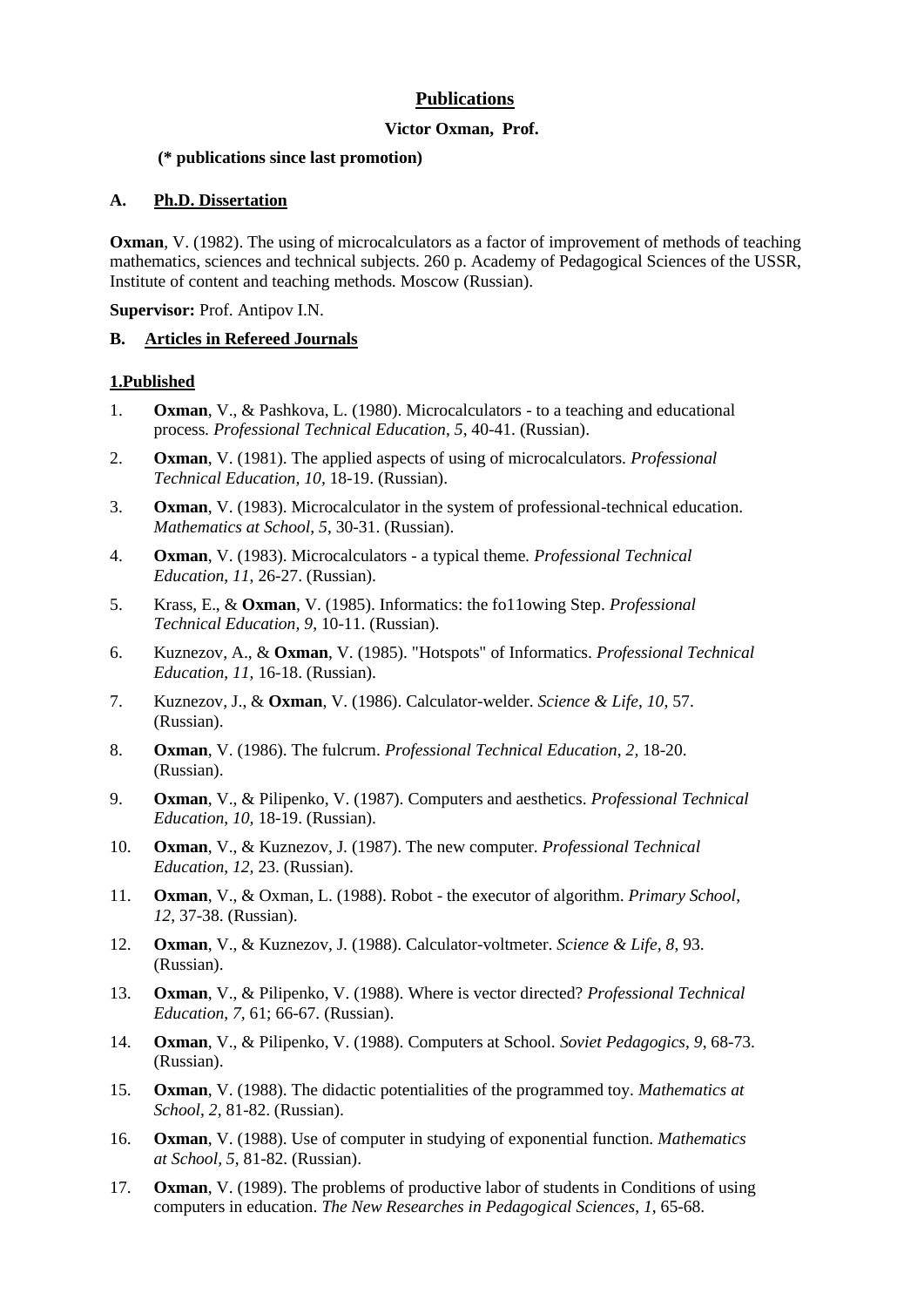## **Publications**

#### **Victor Oxman, Prof.**

#### **(\* publications since last promotion)**

#### **A. Ph.D. Dissertation**

**Oxman**, V. (1982). The using of microcalculators as a factor of improvement of methods of teaching mathematics, sciences and technical subjects. 260 p. Academy of Pedagogical Sciences of the USSR, Institute of content and teaching methods. Moscow (Russian).

**Supervisor:** Prof. Antipov I.N.

#### **B. Articles in Refereed Journals**

#### **1.Published**

- 1. **Oxman**, V., & Pashkova, L. (1980). Microcalculators to a teaching and educational process*. Professional Technical Education*, *5*, 40-41. (Russian).
- 2. **Oxman**, V. (1981). The applied aspects of using of microcalculators. *Professional Technical Education, 10,* 18-19. (Russian).
- 3. **Oxman**, V. (1983). Microcalculator in the system of professional-technical education. *Mathematics at School, 5*, 30-31. (Russian).
- 4. **Oxman**, V. (1983). Microcalculators a typical theme*. Professional Technical Education*, *11*, 26-27. (Russian).
- 5. Krass, E., & **Oxman**, V. (1985). Informatics: the fo11owing Step. *Professional Technical Education, 9*, 10-11. (Russian).
- 6. Kuznezov, A., & **Oxman**, V. (1985). "Hotspots" of Informatics. *Professional Technical Education*, *11,* 16-18. (Russian).
- 7. Kuznezov, J., & **Oxman**, V. (1986). Calculator-welder. *Science & Life*, *10*, 57. (Russian).
- 8. **Oxman**, V. (1986). The fulcrum. *Professional Technical Education*, *2,* 18-20. (Russian).
- 9. **Oxman**, V., & Pilipenko, V. (1987). Computers and aesthetics. *Professional Technical Education*, *10,* 18-19. (Russian).
- 10. **Oxman**, V., & Kuznezov, J. (1987). The new computer. *Professional Technical Education*, *12,* 23. (Russian).
- 11. **Oxman**, V., & Oxman, L. (1988). Robot the executor of algorithm. *Primary School*, *12*, 37-38. (Russian).
- 12. **Oxman**, V., & Kuznezov, J. (1988). Calculator-voltmeter. *Science & Life, 8*, 93. (Russian).
- 13. **Oxman**, V., & Pilipenko, V. (1988). Where is vector directed? *Professional Technical Education*, *7,* 61; 66-67. (Russian).
- 14. **Oxman**, V., & Pilipenko, V. (1988). Computers at School. *Soviet Pedagogics*, *9*, 68-73. (Russian).
- 15. **Oxman**, V. (1988). The didactic potentialities of the programmed toy. *Mathematics at School*, *2*, 81-82. (Russian).
- 16. **Oxman**, V. (1988). Use of computer in studying of exponential function. *Mathematics at School, 5*, 81-82. (Russian).
- 17. **Oxman**, V. (1989). The problems of productive labor of students in Conditions of using computers in education. *The New Researches in Pedagogical Sciences*, *1*, 65-68.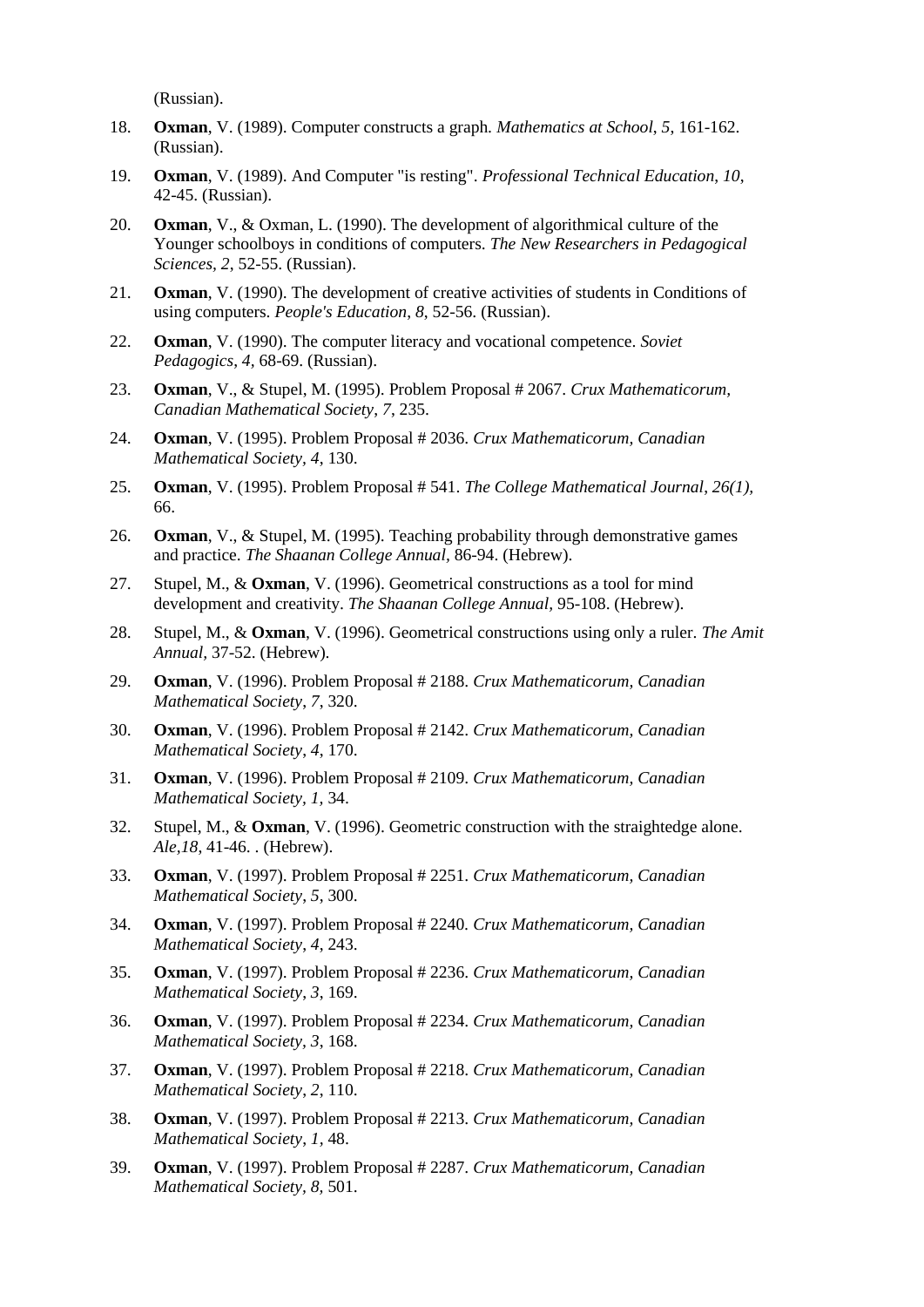(Russian).

- 18. **Oxman**, V. (1989). Computer constructs a graph. *Mathematics at School*, *5*, 161-162. (Russian).
- 19. **Oxman**, V. (1989). And Computer "is resting". *Professional Technical Education*, *10*, 42-45. (Russian).
- 20. **Oxman**, V., & Oxman, L. (1990). The development of algorithmical culture of the Younger schoolboys in conditions of computers. *The New Researchers in Pedagogical Sciences, 2*, 52-55. (Russian).
- 21. **Oxman**, V. (1990). The development of creative activities of students in Conditions of using computers. *People's Education*, *8*, 52-56. (Russian).
- 22. **Oxman**, V. (1990). The computer literacy and vocational competence. *Soviet Pedagogics*, *4,* 68-69. (Russian).
- 23. **Oxman**, V., & Stupel, M. (1995). Problem Proposal # 2067. *Crux Mathematicorum, Canadian Mathematical Society*, *7*, 235.
- 24. **Oxman**, V. (1995). Problem Proposal # 2036. *Crux Mathematicorum, Canadian Mathematical Society, 4*, 130.
- 25. **Oxman**, V. (1995). Problem Proposal # 541. *The College Mathematical Journal*, *26(1),* 66.
- 26. **Oxman**, V., & Stupel, M. (1995). Teaching probability through demonstrative games and practice. *The Shaanan College Annual,* 86-94. (Hebrew).
- 27. Stupel, M., & **Oxman**, V. (1996). Geometrical constructions as a tool for mind development and creativity. *The Shaanan College Annual,* 95-108. (Hebrew).
- 28. Stupel, M., & **Oxman**, V. (1996). Geometrical constructions using only a ruler. *The Amit Annual,* 37-52. (Hebrew).
- 29. **Oxman**, V. (1996). Problem Proposal # 2188. *Crux Mathematicorum, Canadian Mathematical Society*, *7*, 320.
- 30. **Oxman**, V. (1996). Problem Proposal # 2142. *Crux Mathematicorum, Canadian Mathematical Society*, *4*, 170.
- 31. **Oxman**, V. (1996). Problem Proposal # 2109. *Crux Mathematicorum, Canadian Mathematical Society, 1,* 34.
- 32. Stupel, M., & **Oxman**, V. (1996). Geometric construction with the straightedge alone. *Ale,18*, 41-46. . (Hebrew).
- 33. **Oxman**, V. (1997). Problem Proposal # 2251. *Crux Mathematicorum, Canadian Mathematical Society*, *5*, 300.
- 34. **Oxman**, V. (1997). Problem Proposal # 2240*. Crux Mathematicorum, Canadian Mathematical Society*, *4*, 243.
- 35. **Oxman**, V. (1997). Problem Proposal # 2236. *Crux Mathematicorum, Canadian Mathematical Society*, *3*, 169.
- 36. **Oxman**, V. (1997). Problem Proposal # 2234. *Crux Mathematicorum, Canadian Mathematical Society, 3*, 168.
- 37. **Oxman**, V. (1997). Problem Proposal # 2218. *Crux Mathematicorum, Canadian Mathematical Society*, *2*, 110.
- 38. **Oxman**, V. (1997). Problem Proposal # 2213. *Crux Mathematicorum, Canadian Mathematical Society*, *1,* 48.
- 39. **Oxman**, V. (1997). Problem Proposal # 2287. *Crux Mathematicorum, Canadian Mathematical Society, 8,* 501.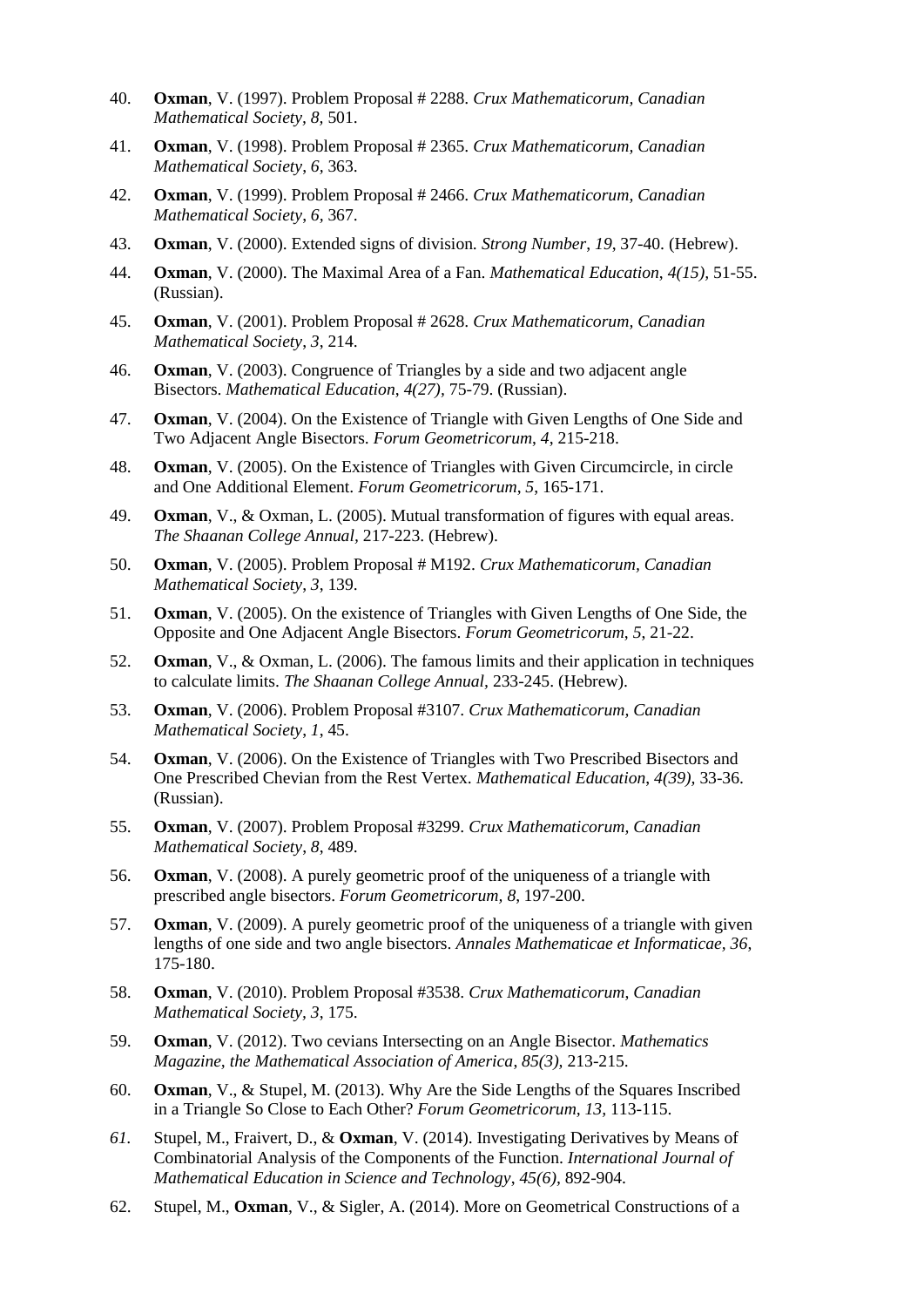- 40. **Oxman**, V. (1997). Problem Proposal # 2288. *Crux Mathematicorum, Canadian Mathematical Society, 8,* 501.
- 41. **Oxman**, V. (1998). Problem Proposal # 2365. *Crux Mathematicorum, Canadian Mathematical Society*, *6,* 363.
- 42. **Oxman**, V. (1999). Problem Proposal # 2466. *Crux Mathematicorum, Canadian Mathematical Society*, *6,* 367.
- 43. **Oxman**, V. (2000). Extended signs of division. *Strong Number*, *19*, 37-40. (Hebrew).
- 44. **Oxman**, V. (2000). The Maximal Area of a Fan. *Mathematical Education*, *4(15),* 51-55. (Russian).
- 45. **Oxman**, V. (2001). Problem Proposal # 2628. *Crux Mathematicorum, Canadian Mathematical Society*, *3*, 214.
- 46. **Oxman**, V. (2003). Congruence of Triangles by a side and two adjacent angle Bisectors. *Mathematical Education*, *4(27),* 75-79. (Russian).
- 47. **Oxman**, V. (2004). On the Existence of Triangle with Given Lengths of One Side and Two Adjacent Angle Bisectors. *Forum Geometricorum*, *4*, 215-218.
- 48. **Oxman**, V. (2005). On the Existence of Triangles with Given Circumcircle, in circle and One Additional Element. *Forum Geometricorum*, *5*, 165-171.
- 49. **Oxman**, V., & Oxman, L. (2005). Mutual transformation of figures with equal areas. *The Shaanan College Annual,* 217-223. (Hebrew).
- 50. **Oxman**, V. (2005). Problem Proposal # M192. *Crux Mathematicorum, Canadian Mathematical Society*, *3*, 139.
- 51. **Oxman**, V. (2005). On the existence of Triangles with Given Lengths of One Side, the Opposite and One Adjacent Angle Bisectors. *Forum Geometricorum*, *5*, 21-22.
- 52. **Oxman**, V., & Oxman, L. (2006). The famous limits and their application in techniques to calculate limits. *The Shaanan College Annual,* 233-245. (Hebrew).
- 53. **Oxman**, V. (2006). Problem Proposal #3107. *Crux Mathematicorum, Canadian Mathematical Society*, *1*, 45.
- 54. **Oxman**, V. (2006). On the Existence of Triangles with Two Prescribed Bisectors and One Prescribed Chevian from the Rest Vertex. *Mathematical Education*, *4(39),* 33-36. (Russian).
- 55. **Oxman**, V. (2007). Problem Proposal #3299. *Crux Mathematicorum, Canadian Mathematical Society*, *8*, 489.
- 56. **Oxman**, V. (2008). A purely geometric proof of the uniqueness of a triangle with prescribed angle bisectors. *Forum Geometricorum, 8*, 197-200.
- 57. **Oxman**, V. (2009). A purely geometric proof of the uniqueness of a triangle with given lengths of one side and two angle bisectors. *Annales Mathematicae et Informaticae, 36*, 175-180.
- 58. **Oxman**, V. (2010). Problem Proposal #3538. *Crux Mathematicorum*, *Canadian Mathematical Society, 3*, 175.
- 59. **Oxman**, V. (2012). Two cevians Intersecting on an Angle Bisector. *Mathematics Magazine, the Mathematical Association of America*, *85(3),* 213-215.
- 60. **Oxman**, V., & Stupel, M. (2013). Why Are the Side Lengths of the Squares Inscribed in a Triangle So Close to Each Other? *Forum Geometricorum, 13,* 113-115.
- *61.* Stupel, M., Fraivert, D., & **Oxman**, V. (2014). Investigating Derivatives by Means of Combinatorial Analysis of the Components of the Function. *International Journal of Mathematical Education in Science and Technology*, *45(6),* 892-904.
- 62. Stupel, M., **Oxman**, V., & Sigler, A. (2014). More on Geometrical Constructions of a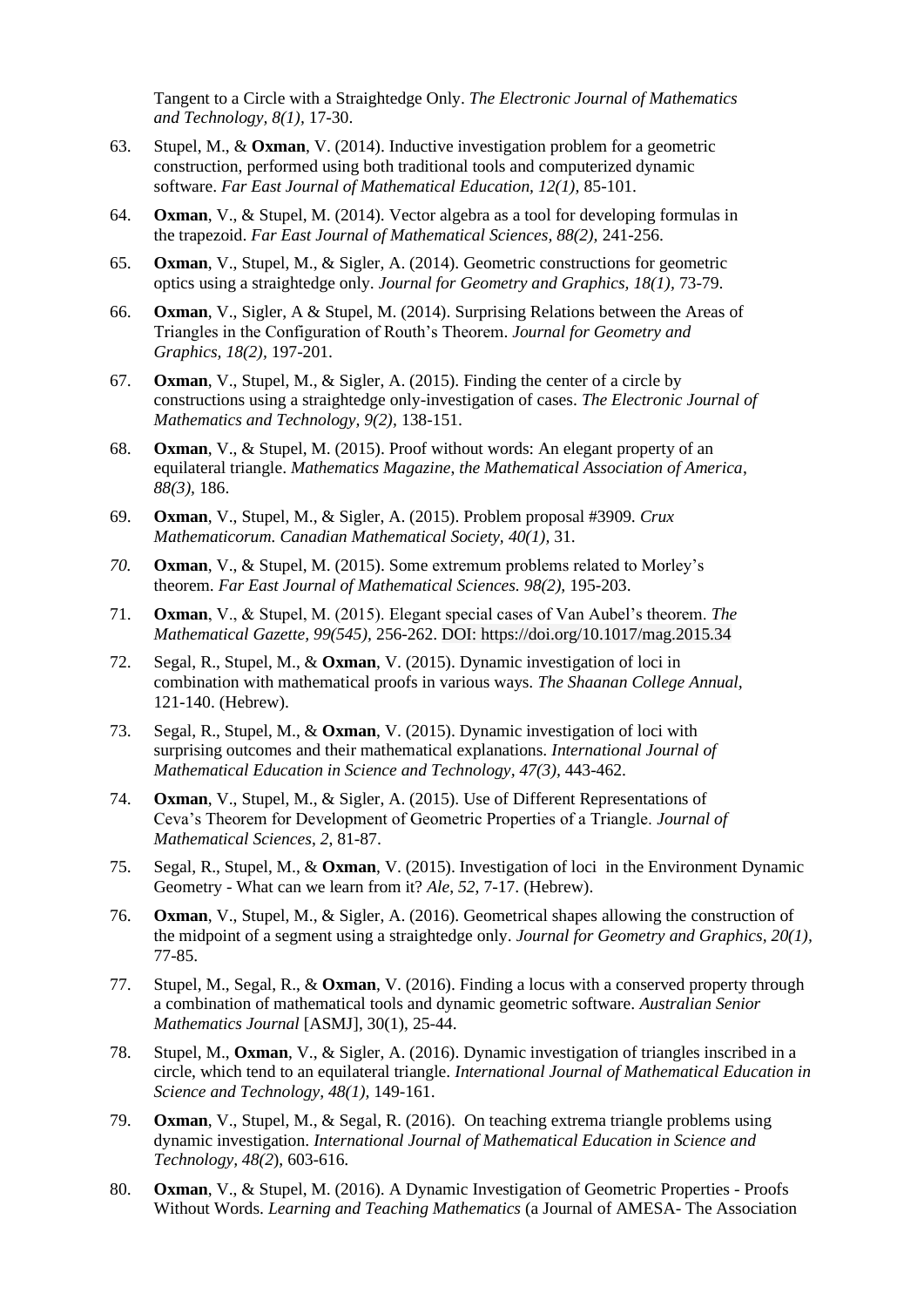Tangent to a Circle with a Straightedge Only. *The Electronic Journal of Mathematics and Technology, 8(1),* 17-30.

- 63. Stupel, M., & **Oxman**, V. (2014). Inductive investigation problem for a geometric construction, performed using both traditional tools and computerized dynamic software. *Far East Journal of Mathematical Education, 12(1),* 85-101.
- 64. **Oxman**, V., & Stupel, M. (2014). Vector algebra as a tool for developing formulas in the trapezoid. *Far East Journal of Mathematical Sciences, 88(2),* 241-256.
- 65. **Oxman**, V., Stupel, M., & Sigler, A. (2014). Geometric constructions for geometric optics using a straightedge only. *Journal for Geometry and Graphics, 18(1),* 73-79.
- 66. **Oxman**, V., Sigler, A & Stupel, M. (2014). Surprising Relations between the Areas of Triangles in the Configuration of Routh's Theorem. *Journal for Geometry and Graphics, 18(2),* 197-201.
- 67. **Oxman**, V., Stupel, M., & Sigler, A. (2015). Finding the center of a circle by constructions using a straightedge only-investigation of cases. *The Electronic Journal of Mathematics and Technology, 9(2),* 138-151.
- 68. **Oxman**, V., & Stupel, M. (2015). Proof without words: An elegant property of an equilateral triangle. *Mathematics Magazine*, *the Mathematical Association of America*, *88(3),* 186.
- 69. **Oxman**, V., Stupel, M., & Sigler, A. (2015). Problem proposal #3909*. Crux Mathematicorum. Canadian Mathematical Society, 40(1),* 31.
- *70.* **Oxman**, V., & Stupel, M. (2015). Some extremum problems related to Morley's theorem. *Far East Journal of Mathematical Sciences. 98(2),* 195-203.
- 71. **Oxman**, V., & Stupel, M. (2015). Elegant special cases of Van Aubel's theorem. *The Mathematical Gazette, 99(545),* 256-262. DOI: <https://doi.org/10.1017/mag.2015.34>
- 72. Segal, R., Stupel, M., & **Oxman**, V. (2015). Dynamic investigation of loci in combination with mathematical proofs in various ways. *The Shaanan College Annual,* 121-140. (Hebrew).
- 73. Segal, R., Stupel, M., & **Oxman**, V. (2015). Dynamic investigation of loci with surprising outcomes and their mathematical explanations. *International Journal of Mathematical Education in Science and Technology, 47(3),* 443-462.
- 74. **Oxman**, V., Stupel, M., & Sigler, A. (2015). Use of Different Representations of Ceva's Theorem for Development of Geometric Properties of a Triangle. *Journal of Mathematical Sciences*, *2*, 81-87.
- 75. Segal, R., Stupel, M., & **Oxman**, V. (2015). Investigation of loci in the Environment Dynamic Geometry - What can we learn from it? *Ale*, *52*, 7-17. (Hebrew).
- 76. **Oxman**, V., Stupel, M., & Sigler, A. (2016). Geometrical shapes allowing the construction of the midpoint of a segment using a straightedge only. *Journal for Geometry and Graphics, 20(1),* 77-85.
- 77. Stupel, M., Segal, R., & **Oxman**, V. (2016). Finding a locus with a conserved property through a combination of mathematical tools and dynamic geometric software. *Australian Senior Mathematics Journal* [ASMJ], 30(1), 25-44.
- 78. Stupel, M., **Oxman**, V., & Sigler, A. (2016). Dynamic investigation of triangles inscribed in a circle, which tend to an equilateral triangle. *International Journal of Mathematical Education in Science and Technology, 48(1),* 149-161.
- 79. **Oxman**, V., Stupel, M., & Segal, R. (2016). On teaching extrema triangle problems using dynamic investigation. *International Journal of Mathematical Education in Science and Technology, 48(2*), 603-616.
- 80. **Oxman**, V., & Stupel, M. (2016). A Dynamic Investigation of Geometric Properties Proofs Without Words. *Learning and Teaching Mathematics* (a Journal of AMESA- The Association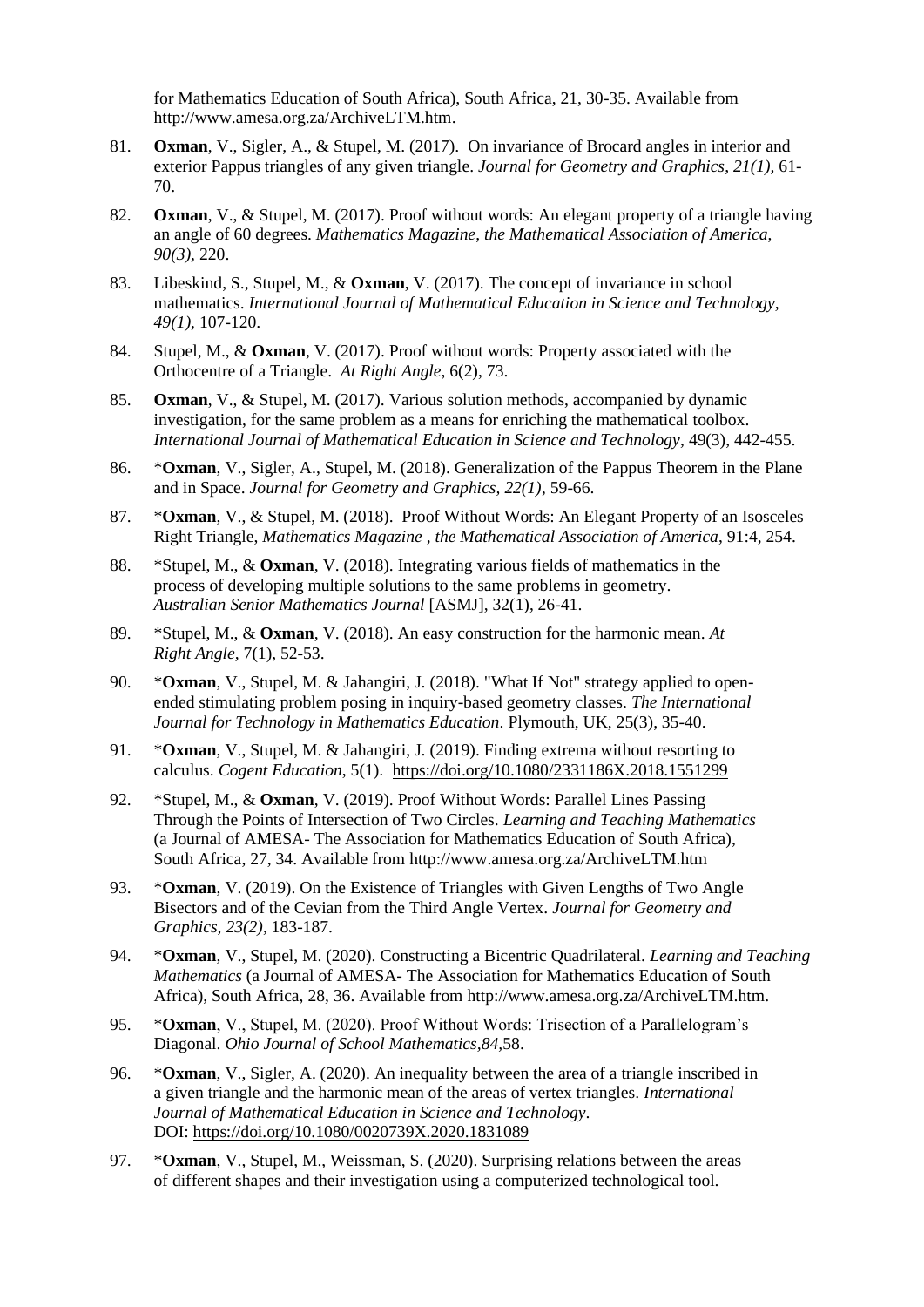for Mathematics Education of South Africa), South Africa, 21, 30-35. Available from [http://www.amesa.org.za/ArchiveLTM.htm.](http://www.amesa.org.za/ArchiveLTM.htm)

- 81. **Oxman**, V., Sigler, A., & Stupel, M. (2017). On invariance of Brocard angles in interior and exterior Pappus triangles of any given triangle. *Journal for Geometry and Graphics*, *21(1),* 61- 70.
- 82. **Oxman**, V., & Stupel, M. (2017). Proof without words: An elegant property of a triangle having an angle of 60 degrees. *Mathematics Magazine*, *the Mathematical Association of America*, *90(3),* 220.
- 83. Libeskind, S., Stupel, M., & **Oxman**, V. (2017). The concept of invariance in school mathematics. *International Journal of Mathematical Education in Science and Technology, 49(1),* 107-120.
- 84. Stupel, M., & **Oxman**, V. (2017). Proof without words: Property associated with the Orthocentre of a Triangle. *At Right Angle,* 6(2), 73.
- 85. **Oxman**, V., & Stupel, M. (2017). Various solution methods, accompanied by dynamic investigation, for the same problem as a means for enriching the mathematical toolbox. *International Journal of Mathematical Education in Science and Technology*, 49(3), 442-455.
- 86. \***Oxman**, V., Sigler, A., Stupel, M. (2018). Generalization of the Pappus Theorem in the Plane and in Space. *Journal for Geometry and Graphics, 22(1)*, 59-66.
- 87. \***Oxman**, V., & Stupel, M. (2018). Proof Without Words: An Elegant Property of an Isosceles Right Triangle, *Mathematics Magazine* , *the Mathematical Association of America*, 91:4, 254.
- 88. \*Stupel, M., & **Oxman**, V. (2018). Integrating various fields of mathematics in the process of developing multiple solutions to the same problems in geometry. *Australian Senior Mathematics Journal* [ASMJ], 32(1), 26-41.
- 89. \*Stupel, M., & **Oxman**, V. (2018). An easy construction for the harmonic mean. *At Right Angle,* 7(1), 52-53.
- 90. \***Oxman**, V., Stupel, M. & Jahangiri, J. (2018). "What If Not" strategy applied to openended stimulating problem posing in inquiry-based geometry classes. *The International Journal for Technology in Mathematics Education*. Plymouth, UK, 25(3), 35-40.
- 91. \***Oxman**, V., Stupel, M. & Jahangiri, J. (2019). Finding extrema without resorting to calculus. *Cogent Education*, 5(1). <https://doi.org/10.1080/2331186X.2018.1551299>
- 92. \*Stupel, M., & **Oxman**, V. (2019). Proof Without Words: Parallel Lines Passing Through the Points of Intersection of Two Circles. *Learning and Teaching Mathematics* (a Journal of AMESA- The Association for Mathematics Education of South Africa), South Africa, 27, 34. Available from<http://www.amesa.org.za/ArchiveLTM.htm>
- 93. \***Oxman**, V. (2019). On the Existence of Triangles with Given Lengths of Two Angle Bisectors and of the Cevian from the Third Angle Vertex. *Journal for Geometry and Graphics, 23(2)*, 183-187.
- 94. \***Oxman**, V., Stupel, M. (2020). Constructing a Bicentric Quadrilateral. *Learning and Teaching Mathematics* (a Journal of AMESA- The Association for Mathematics Education of South Africa), South Africa, 28, 36. Available from [http://www.amesa.org.za/ArchiveLTM.htm.](http://www.amesa.org.za/ArchiveLTM.htm)
- 95. \***Oxman**, V., Stupel, M. (2020). Proof Without Words: Trisection of a Parallelogram's Diagonal. *Ohio Journal of School Mathematics,84,*58.
- 96. \***Oxman**, V., Sigler, A. (2020). An inequality between the area of a triangle inscribed in a given triangle and the harmonic mean of the areas of vertex triangles. *International Journal of Mathematical Education in Science and Technology*. DOI:<https://doi.org/10.1080/0020739X.2020.1831089>
- 97. \***Oxman**, V., Stupel, M., Weissman, S. (2020). Surprising relations between the areas of different shapes and their investigation using a computerized technological tool.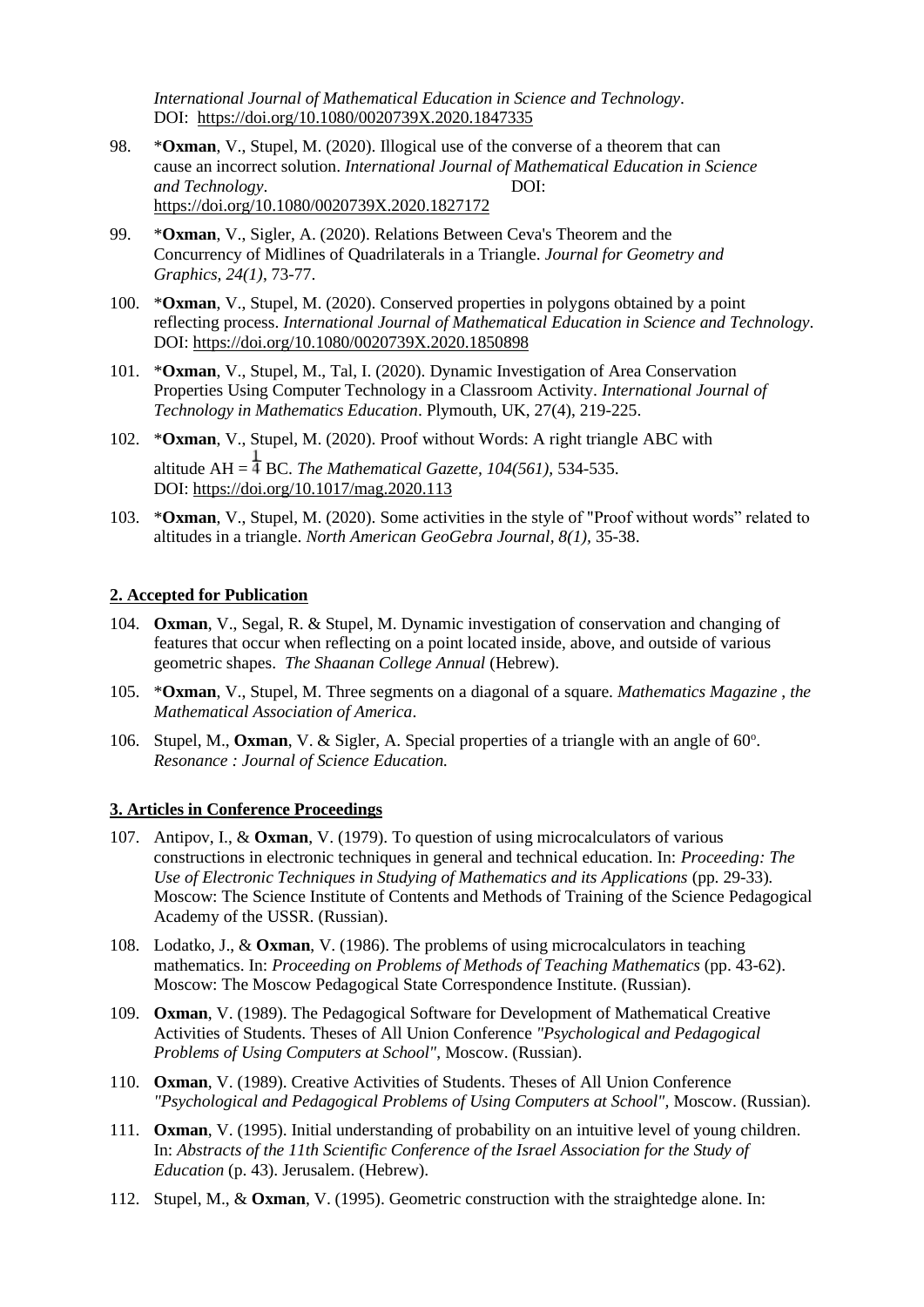*International Journal of Mathematical Education in Science and Technology*. DOI: <https://doi.org/10.1080/0020739X.2020.1847335>

- 98. \***Oxman**, V., Stupel, M. (2020). Illogical use of the converse of a theorem that can cause an incorrect solution. *International Journal of Mathematical Education in Science and Technology*. DOI: <https://doi.org/10.1080/0020739X.2020.1827172>
- 99. \***Oxman**, V., Sigler, A. (2020). Relations Between Ceva's Theorem and the Concurrency of Midlines of Quadrilaterals in a Triangle. *Journal for Geometry and Graphics, 24(1)*, 73-77.
- 100. \***Oxman**, V., Stupel, M. (2020). Conserved properties in polygons obtained by a point reflecting process. *International Journal of Mathematical Education in Science and Technology*. DOI:<https://doi.org/10.1080/0020739X.2020.1850898>
- 101. \***Oxman**, V., Stupel, M., Tal, I. (2020). Dynamic Investigation of Area Conservation Properties Using Computer Technology in a Classroom Activity. *International Journal of Technology in Mathematics Education*. Plymouth, UK, 27(4), 219-225.
- 102. \***Oxman**, V., Stupel, M. (2020). Proof without Words: A right triangle ABC with altitude AH  $=$   $\frac{1}{4}$  BC. *The Mathematical Gazette, 104(561), 534-535.* DOI:<https://doi.org/10.1017/mag.2020.113>
- 103. \***Oxman**, V., Stupel, M. (2020). Some activities in the style of "Proof without words" related to altitudes in a triangle. *North American GeoGebra Journal, 8(1),* 35-38.

#### **2. Accepted for Publication**

- 104. **Oxman**, V., Segal, R. & Stupel, M. Dynamic investigation of conservation and changing of features that occur when reflecting on a point located inside, above, and outside of various geometric shapes. *The Shaanan College Annual* (Hebrew).
- 105. \***Oxman**, V., Stupel, M. Three segments on a diagonal of a square. *Mathematics Magazine* , *the Mathematical Association of America*.
- 106. Stupel, M., Oxman, V. & Sigler, A. Special properties of a triangle with an angle of 60°. *Resonance : Journal of Science Education.*

#### **3. Articles in Conference Proceedings**

- 107. Antipov, I., & **Oxman**, V. (1979). To question of using microcalculators of various constructions in electronic techniques in general and technical education. In: *Proceeding: The Use of Electronic Techniques in Studying of Mathematics and its Applications* (pp. 29-33)*.* Moscow: The Science Institute of Contents and Methods of Training of the Science Pedagogical Academy of the USSR. (Russian).
- 108. Lodatko, J., & **Oxman**, V. (1986). The problems of using microcalculators in teaching mathematics. In: *Proceeding on Problems of Methods of Teaching Mathematics* (pp. 43-62). Moscow: The Moscow Pedagogical State Correspondence Institute. (Russian).
- 109. **Oxman**, V. (1989). The Pedagogical Software for Development of Mathematical Creative Activities of Students. Theses of All Union Conference *"Psychological and Pedagogical Problems of Using Computers at School"*, Moscow. (Russian).
- 110. **Oxman**, V. (1989). Creative Activities of Students. Theses of All Union Conference *"Psychological and Pedagogical Problems of Using Computers at School",* Moscow. (Russian).
- 111. **Oxman**, V. (1995). Initial understanding of probability on an intuitive level of young children. In: *Abstracts of the 11th Scientific Conference of the Israel Association for the Study of Education* (p. 43). Jerusalem. (Hebrew).
- 112. Stupel, M., & **Oxman**, V. (1995). Geometric construction with the straightedge alone. In: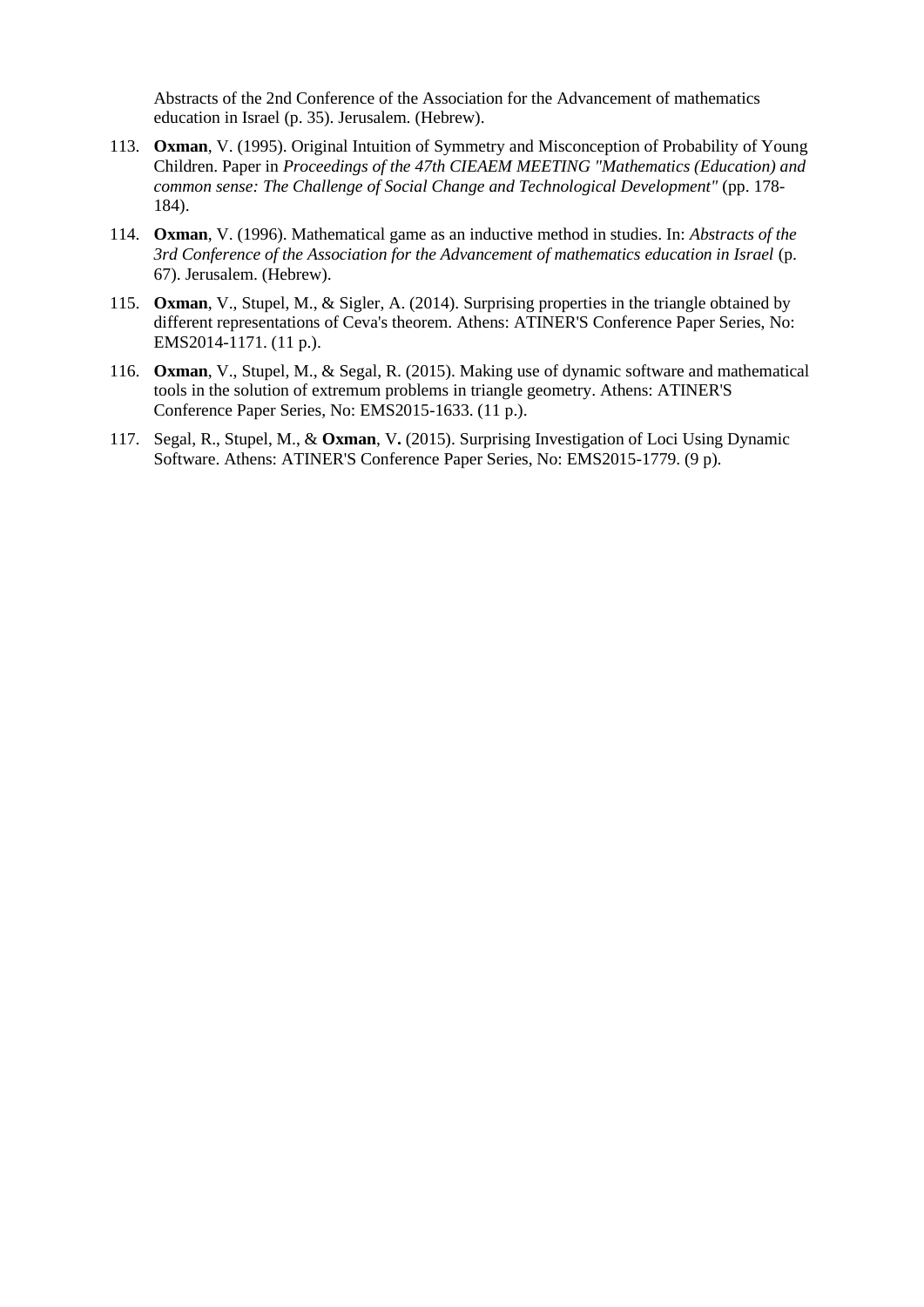Abstracts of the 2nd Conference of the Association for the Advancement of mathematics education in Israel (p. 35). Jerusalem. (Hebrew).

- 113. **Oxman**, V. (1995). Original Intuition of Symmetry and Misconception of Probability of Young Children. Paper in *Proceedings of the 47th CIEAEM MEETING "Mathematics (Education) and common sense: The Challenge of Social Change and Technological Development"* (pp. 178- 184).
- 114. **Oxman**, V. (1996). Mathematical game as an inductive method in studies. In: *Abstracts of the 3rd Conference of the Association for the Advancement of mathematics education in Israel* (p. 67). Jerusalem. (Hebrew).
- 115. **Oxman**, V., Stupel, M., & Sigler, A. (2014). Surprising properties in the triangle obtained by different representations of Ceva's theorem. Athens: ATINER'S Conference Paper Series, No: EMS2014-1171. (11 p.).
- 116. **Oxman**, V., Stupel, M., & Segal, R. (2015). Making use of dynamic software and mathematical tools in the solution of extremum problems in triangle geometry. Athens: ATINER'S Conference Paper Series, No: EMS2015-1633. (11 p.).
- 117. Segal, R., Stupel, M., & **Oxman**, V**.** (2015). Surprising Investigation of Loci Using Dynamic Software. Athens: ATINER'S Conference Paper Series, No: EMS2015-1779. (9 p).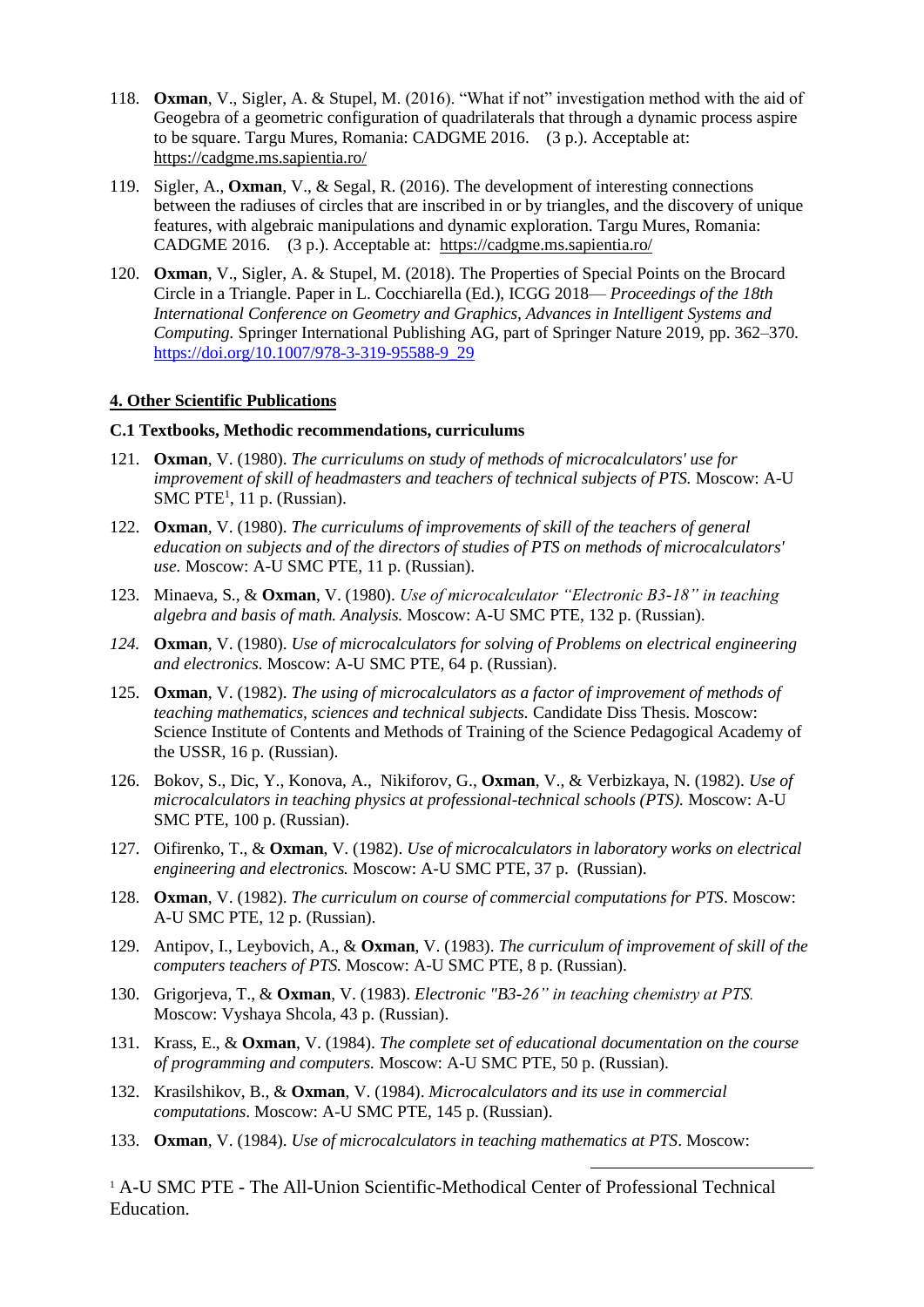- 118. **Oxman**, V., Sigler, A. & Stupel, M. (2016). "What if not" investigation method with the aid of Geogebra of a geometric configuration of quadrilaterals that through a dynamic process aspire to be square. Targu Mures, Romania: CADGME 2016. (3 p.). Acceptable at: <https://cadgme.ms.sapientia.ro/>
- 119. Sigler, A., **Oxman**, V., & Segal, R. (2016). The development of interesting connections between the radiuses of circles that are inscribed in or by triangles, and the discovery of unique features, with algebraic manipulations and dynamic exploration. Targu Mures, Romania: CADGME 2016. (3 p.). Acceptable at: <https://cadgme.ms.sapientia.ro/>
- 120. **Oxman**, V., Sigler, A. & Stupel, M. (2018). The Properties of Special Points on the Brocard Circle in a Triangle. Paper in L. Cocchiarella (Ed.), ICGG 2018— *Proceedings of the 18th International Conference on Geometry and Graphics, Advances in Intelligent Systems and Computing.* Springer International Publishing AG, part of Springer Nature 2019, pp. 362–370. [https://doi.org/10.1007/978-3-319-95588-9\\_29](https://doi.org/10.1007/978-3-319-95588-9_29)

#### **4. Other Scientific Publications**

#### **C.1 Textbooks, Methodic recommendations, curriculums**

- 121. **Oxman**, V. (1980). *The curriculums on study of methods of microcalculators' use for improvement of skill of headmasters and teachers of technical subjects of PTS.* Moscow: A-U SMC PTE<sup>1</sup>, 11 p. (Russian).
- 122. **Oxman**, V. (1980). *The curriculums of improvements of skill of the teachers of general education on subjects and of the directors of studies of PTS on methods of microcalculators' use.* Moscow: A-U SMC PTE, 11 p. (Russian).
- 123. Minaeva, S., & **Oxman**, V. (1980). *Use of microcalculator "Electronic B3-18" in teaching algebra and basis of math. Analysis.* Moscow: A-U SMC PTE, 132 p. (Russian).
- *124.* **Oxman**, V. (1980). *Use of microcalculators for solving of Problems on electrical engineering and electronics.* Moscow: A-U SMC PTE, 64 p. (Russian).
- 125. **Oxman**, V. (1982). *The using of microcalculators as a factor of improvement of methods of teaching mathematics, sciences and technical subjects.* Candidate Diss Thesis. Moscow: Science Institute of Contents and Methods of Training of the Science Pedagogical Academy of the USSR, 16 p. (Russian).
- 126. Bokov, S., Dic, Y., Konova, A., Nikiforov, G., **Oxman**, V., & Verbizkaya, N. (1982). *Use of microcalculators in teaching physics at professional-technical schools (PTS).* Moscow: A-U SMC PTE, 100 p. (Russian).
- 127. Oifirenko, T., & **Oxman**, V. (1982). *Use of microcalculators in laboratory works on electrical engineering and electronics.* Moscow: A-U SMC PTE, 37 p. (Russian).
- 128. **Oxman**, V. (1982). *The curriculum on course of commercial computations for PTS*. Moscow: A-U SMC PTE, 12 p. (Russian).
- 129. Antipov, I., Leybovich, A., & **Oxman**, V. (1983). *The curriculum of improvement of skill of the computers teachers of PTS.* Moscow: A-U SMC PTE, 8 p. (Russian).
- 130. Grigorjeva, T., & **Oxman**, V. (1983). *Electronic "B3-26" in teaching chemistry at PTS.* Moscow: Vyshaya Shcola, 43 p. (Russian).
- 131. Krass, E., & **Oxman**, V. (1984). *The complete set of educational documentation on the course of programming and computers.* Moscow: A-U SMC PTE, 50 p. (Russian).
- 132. Krasilshikov, B., & **Oxman**, V. (1984). *Microcalculators and its use in commercial computations*. Moscow: A-U SMC PTE, 145 p. (Russian).
- 133. **Oxman**, V. (1984). *Use of microcalculators in teaching mathematics at PTS*. Moscow:

<sup>1</sup> A-U SMC PTE - The All-Union Scientific-Methodical Center of Professional Technical Education.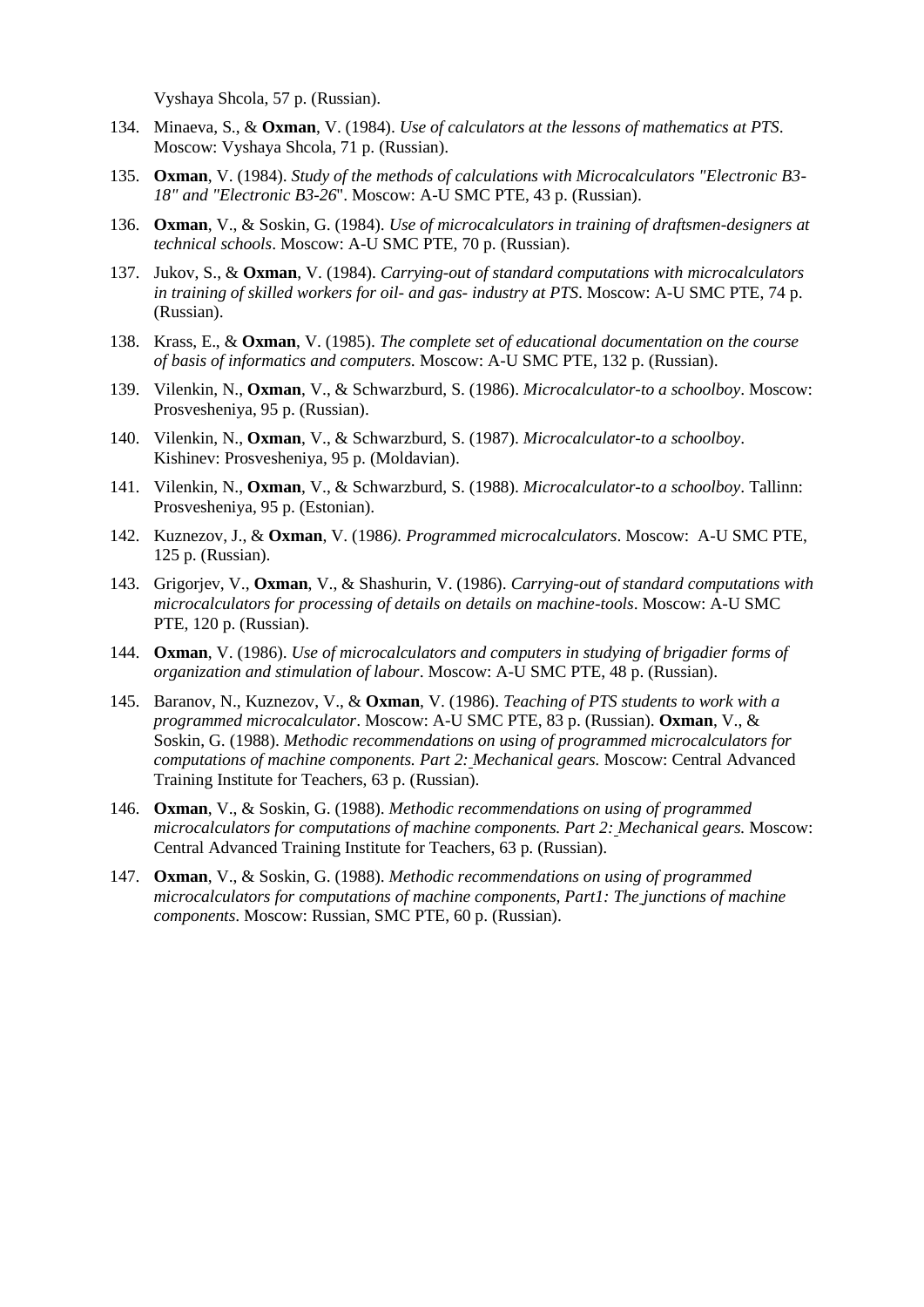Vyshaya Shcola, 57 p. (Russian).

- 134. Minaeva, S., & **Oxman**, V. (1984). *Use of calculators at the lessons of mathematics at PTS*. Moscow: Vyshaya Shcola, 71 p. (Russian).
- 135. **Oxman**, V. (1984). *Study of the methods of calculations with Microcalculators "Electronic B3- 18" and "Electronic B3-26*". Moscow: A-U SMC PTE, 43 p. (Russian).
- 136. **Oxman**, V., & Soskin, G. (1984). *Use of microcalculators in training of draftsmen-designers at technical schools*. Moscow: A-U SMC PTE, 70 p. (Russian).
- 137. Jukov, S., & **Oxman**, V. (1984). *Carrying-out of standard computations with microcalculators in training of skilled workers for oil- and gas- industry at PTS*. Moscow: A-U SMC PTE, 74 p. (Russian).
- 138. Krass, E., & **Oxman**, V. (1985). *The complete set of educational documentation on the course of basis of informatics and computers.* Moscow: A-U SMC PTE, 132 p. (Russian).
- 139. Vilenkin, N., **Oxman**, V., & Schwarzburd, S. (1986). *Microcalculator-to a schoolboy*. Moscow: Prosvesheniya, 95 p. (Russian).
- 140. Vilenkin, N., **Oxman**, V., & Schwarzburd, S. (1987). *Microcalculator-to a schoolboy*. Kishinev: Prosvesheniya, 95 p. (Moldavian).
- 141. Vilenkin, N., **Oxman**, V., & Schwarzburd, S. (1988). *Microcalculator-to a schoolboy*. Tallinn: Prosvesheniya, 95 p. (Estonian).
- 142. Kuznezov, J., & **Oxman**, V. (1986*). Programmed microcalculators*. Moscow: A-U SMC PTE, 125 p. (Russian).
- 143. Grigorjev, V., **Oxman**, V., & Shashurin, V. (1986). *Carrying-out of standard computations with microcalculators for processing of details on details on machine-tools*. Moscow: A-U SMC PTE, 120 p. (Russian).
- 144. **Oxman**, V. (1986). *Use of microcalculators and computers in studying of brigadier forms of organization and stimulation of labour*. Moscow: A-U SMC PTE, 48 p. (Russian).
- 145. Baranov, N., Kuznezov, V., & **Oxman**, V. (1986). *Teaching of PTS students to work with a programmed microcalculator*. Moscow: A-U SMC PTE, 83 p. (Russian). **Oxman**, V., & Soskin, G. (1988). *Methodic recommendations on using of programmed microcalculators for computations of machine components. Part 2: Mechanical gears.* Moscow: Central Advanced Training Institute for Teachers, 63 p. (Russian).
- 146. **Oxman**, V., & Soskin, G. (1988). *Methodic recommendations on using of programmed microcalculators for computations of machine components. Part 2: Mechanical gears.* Moscow: Central Advanced Training Institute for Teachers, 63 p. (Russian).
- 147. **Oxman**, V., & Soskin, G. (1988). *Methodic recommendations on using of programmed microcalculators for computations of machine components, Part1: The junctions of machine components*. Moscow: Russian, SMC PTE, 60 p. (Russian).